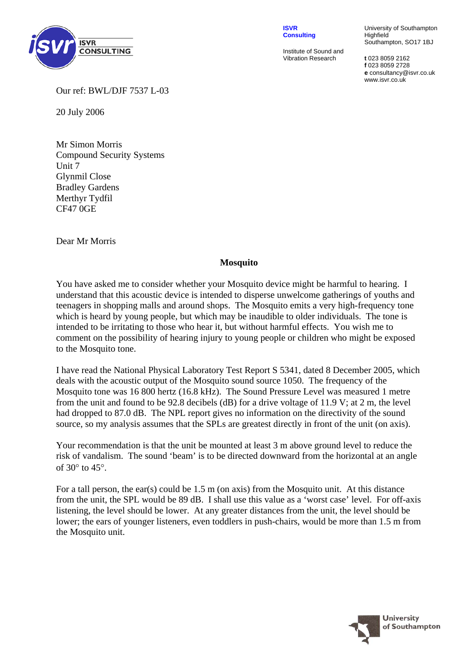

**ISVR Consulting**

Institute of Sound and Vibration Research **t** 023 8059 2162

University of Southampton Highfield Southampton, SO17 1BJ

**f** 023 8059 2728 **e** consultancy@isvr.co.uk www.isvr.co.uk

Our ref: BWL/DJF 7537 L-03

20 July 2006

Mr Simon Morris Compound Security Systems Unit 7 Glynmil Close Bradley Gardens Merthyr Tydfil CF47 0GE

Dear Mr Morris

## **Mosquito**

You have asked me to consider whether your Mosquito device might be harmful to hearing. I understand that this acoustic device is intended to disperse unwelcome gatherings of youths and teenagers in shopping malls and around shops. The Mosquito emits a very high-frequency tone which is heard by young people, but which may be inaudible to older individuals. The tone is intended to be irritating to those who hear it, but without harmful effects. You wish me to comment on the possibility of hearing injury to young people or children who might be exposed to the Mosquito tone.

I have read the National Physical Laboratory Test Report S 5341, dated 8 December 2005, which deals with the acoustic output of the Mosquito sound source 1050. The frequency of the Mosquito tone was 16 800 hertz (16.8 kHz). The Sound Pressure Level was measured 1 metre from the unit and found to be 92.8 decibels (dB) for a drive voltage of 11.9 V; at 2 m, the level had dropped to 87.0 dB. The NPL report gives no information on the directivity of the sound source, so my analysis assumes that the SPLs are greatest directly in front of the unit (on axis).

Your recommendation is that the unit be mounted at least 3 m above ground level to reduce the risk of vandalism. The sound 'beam' is to be directed downward from the horizontal at an angle of 30° to 45°.

For a tall person, the ear(s) could be  $1.5 \text{ m}$  (on axis) from the Mosquito unit. At this distance from the unit, the SPL would be 89 dB. I shall use this value as a 'worst case' level. For off-axis listening, the level should be lower. At any greater distances from the unit, the level should be lower; the ears of younger listeners, even toddlers in push-chairs, would be more than 1.5 m from the Mosquito unit.

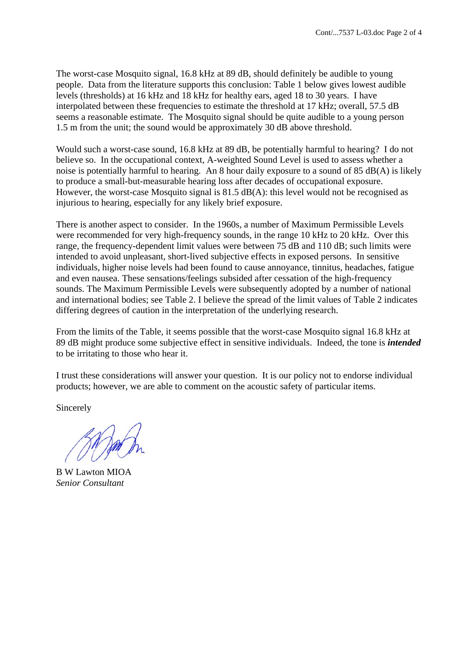The worst-case Mosquito signal, 16.8 kHz at 89 dB, should definitely be audible to young people. Data from the literature supports this conclusion: Table 1 below gives lowest audible levels (thresholds) at 16 kHz and 18 kHz for healthy ears, aged 18 to 30 years. I have interpolated between these frequencies to estimate the threshold at 17 kHz; overall, 57.5 dB seems a reasonable estimate. The Mosquito signal should be quite audible to a young person 1.5 m from the unit; the sound would be approximately 30 dB above threshold.

Would such a worst-case sound, 16.8 kHz at 89 dB, be potentially harmful to hearing? I do not believe so. In the occupational context, A-weighted Sound Level is used to assess whether a noise is potentially harmful to hearing. An 8 hour daily exposure to a sound of 85 dB(A) is likely to produce a small-but-measurable hearing loss after decades of occupational exposure. However, the worst-case Mosquito signal is 81.5 dB(A): this level would not be recognised as injurious to hearing, especially for any likely brief exposure.

There is another aspect to consider. In the 1960s, a number of Maximum Permissible Levels were recommended for very high-frequency sounds, in the range 10 kHz to 20 kHz. Over this range, the frequency-dependent limit values were between 75 dB and 110 dB; such limits were intended to avoid unpleasant, short-lived subjective effects in exposed persons. In sensitive individuals, higher noise levels had been found to cause annoyance, tinnitus, headaches, fatigue and even nausea. These sensations/feelings subsided after cessation of the high-frequency sounds. The Maximum Permissible Levels were subsequently adopted by a number of national and international bodies; see Table 2. I believe the spread of the limit values of Table 2 indicates differing degrees of caution in the interpretation of the underlying research.

From the limits of the Table, it seems possible that the worst-case Mosquito signal 16.8 kHz at 89 dB might produce some subjective effect in sensitive individuals. Indeed, the tone is *intended* to be irritating to those who hear it.

I trust these considerations will answer your question. It is our policy not to endorse individual products; however, we are able to comment on the acoustic safety of particular items.

Sincerely

B W Lawton MIOA *Senior Consultant*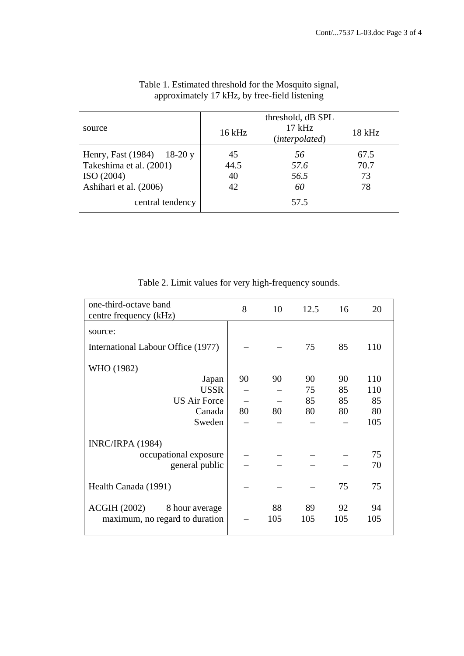| source                                                                                                           | $16$ kHz               | threshold, dB SPL<br>$17$ kHz<br>(interpolated) | 18 kHz                   |  |  |
|------------------------------------------------------------------------------------------------------------------|------------------------|-------------------------------------------------|--------------------------|--|--|
| Henry, Fast (1984) 18-20 y<br>Takeshima et al. (2001)<br>ISO(2004)<br>Ashihari et al. (2006)<br>central tendency | 45<br>44.5<br>40<br>42 | 56<br>57.6<br>56.5<br>60<br>57.5                | 67.5<br>70.7<br>73<br>78 |  |  |

## Table 1. Estimated threshold for the Mosquito signal, approximately 17 kHz, by free-field listening

Table 2. Limit values for very high-frequency sounds.

| one-third-octave band<br>centre frequency (kHz) | 8  | 10  | 12.5 | 16  | 20  |  |
|-------------------------------------------------|----|-----|------|-----|-----|--|
| source:                                         |    |     |      |     |     |  |
| International Labour Office (1977)              |    |     | 75   | 85  | 110 |  |
| WHO (1982)                                      |    |     |      |     |     |  |
| Japan                                           | 90 | 90  | 90   | 90  | 110 |  |
| <b>USSR</b>                                     |    |     | 75   | 85  | 110 |  |
| <b>US Air Force</b>                             |    |     | 85   | 85  | 85  |  |
| Canada                                          | 80 | 80  | 80   | 80  | 80  |  |
| Sweden                                          |    |     |      |     | 105 |  |
| <b>INRC/IRPA (1984)</b>                         |    |     |      |     |     |  |
| occupational exposure                           |    |     |      |     | 75  |  |
| general public                                  |    |     |      |     | 70  |  |
|                                                 |    |     |      |     |     |  |
| Health Canada (1991)                            |    |     |      | 75  | 75  |  |
| ACGIH(2002)<br>8 hour average                   |    | 88  | 89   | 92  | 94  |  |
| maximum, no regard to duration                  |    | 105 | 105  | 105 | 105 |  |
|                                                 |    |     |      |     |     |  |